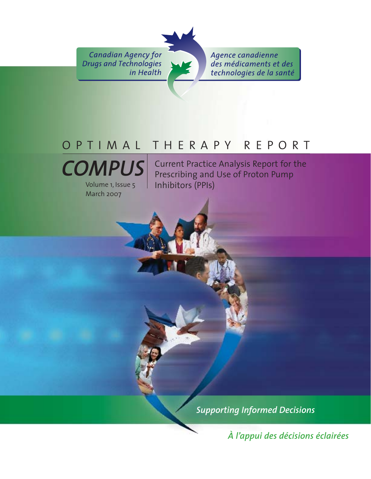**Canadian Agency for Drugs and Technologies** in Health

Agence canadienne des médicaments et des technologies de la santé

# OPTIMAL THERAPY REPORT



March 2007

Current Practice Analysis Report for the Prescribing and Use of Proton Pump Inhibitors (PPIs)

*Supporting Informed Decisions* 

*À l'appui des décisions éclairées*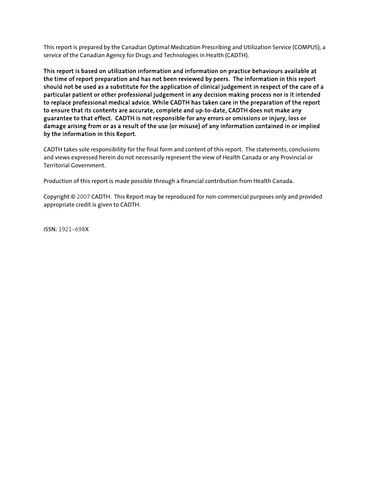This report is prepared by the Canadian Optimal Medication Prescribing and Utilization Service (COMPUS), a service of the Canadian Agency for Drugs and Technologies in Health (CADTH).

This report is based on utilization information and information on practice behaviours available at the time of report preparation and has not been reviewed by peers. The information in this report should not be used as a substitute for the application of clinical judgement in respect of the care of a particular patient or other professional judgement in any decision making process nor is it intended to replace professional medical advice. While CADTH has taken care in the preparation of the report to ensure that its contents are accurate, complete and up-to-date, CADTH does not make any guarantee to that effect. CADTH is not responsible for any errors or omissions or injury, loss or damage arising from or as a result of the use (or misuse) of any information contained in or implied by the information in this Report.

CADTH takes sole responsibility for the final form and content of this report. The statements, conclusions and views expressed herein do not necessarily represent the view of Health Canada or any Provincial or Territorial Government.

Production of this report is made possible through a financial contribution from Health Canada.

Copyright © 2007 CADTH. This Report may be reproduced for non-commercial purposes only and provided appropriate credit is given to CADTH.

ISSN: 1921-698X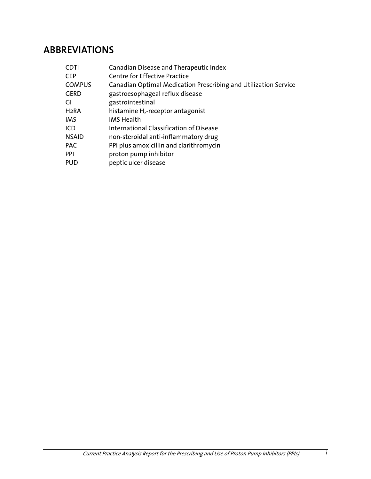# ABBREVIATIONS

| CDTI          | Canadian Disease and Therapeutic Index                          |
|---------------|-----------------------------------------------------------------|
| CEP           | <b>Centre for Effective Practice</b>                            |
| <b>COMPUS</b> | Canadian Optimal Medication Prescribing and Utilization Service |
| GERD          | gastroesophageal reflux disease                                 |
| GI            | gastrointestinal                                                |
| H2RA          | histamine $H_2$ -receptor antagonist                            |
| IMS           | <b>IMS Health</b>                                               |
| ICD           | International Classification of Disease                         |
| <b>NSAID</b>  | non-steroidal anti-inflammatory drug                            |
| PAC           | PPI plus amoxicillin and clarithromycin                         |
| PPI           | proton pump inhibitor                                           |
| PUD           | peptic ulcer disease                                            |
|               |                                                                 |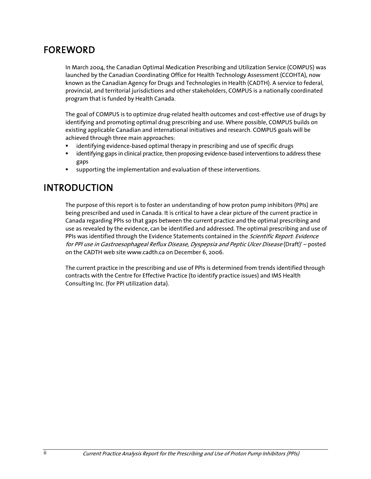## FOREWORD

In March 2004, the Canadian Optimal Medication Prescribing and Utilization Service (COMPUS) was launched by the Canadian Coordinating Office for Health Technology Assessment (CCOHTA), now known as the Canadian Agency for Drugs and Technologies in Health (CADTH). A service to federal, provincial, and territorial jurisdictions and other stakeholders, COMPUS is a nationally coordinated program that is funded by Health Canada.

The goal of COMPUS is to optimize drug-related health outcomes and cost-effective use of drugs by identifying and promoting optimal drug prescribing and use. Where possible, COMPUS builds on existing applicable Canadian and international initiatives and research. COMPUS goals will be achieved through three main approaches:

- identifying evidence-based optimal therapy in prescribing and use of specific drugs
- identifying gaps in clinical practice, then proposing evidence-based interventions to address these gaps
- supporting the implementation and evaluation of these interventions.

# INTRODUCTION

The purpose of this report is to foster an understanding of how proton pump inhibitors (PPIs) are being prescribed and used in Canada. It is critical to have a clear picture of the current practice in Canada regarding PPIs so that gaps between the current practice and the optimal prescribing and use as revealed by the evidence, can be identified and addressed. The optimal prescribing and use of PPIs was identified through the Evidence Statements contained in the *Scientific Report: Evidence* for PPI use in Gastroesophageal Reflux Disease, Dyspepsia and Peptic Ulcer Disease (Draft)<sup>1</sup> - posted on the CADTH web site www.cadth.ca on December 6, 2006.

The current practice in the prescribing and use of PPIs is determined from trends identified through contracts with the Centre for Effective Practice (to identify practice issues) and IMS Health Consulting Inc. (for PPI utilization data).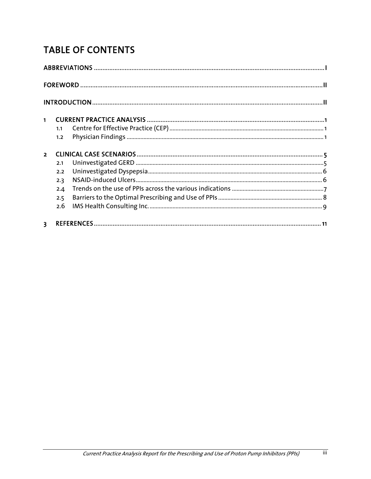# **TABLE OF CONTENTS**

| $\blacksquare$          | 1.1<br>1.2        |  |
|-------------------------|-------------------|--|
| $\overline{2}$          | 2.1               |  |
|                         | 2.2<br>2.3<br>2.4 |  |
|                         | 2.5<br>2.6        |  |
| $\overline{\mathbf{3}}$ |                   |  |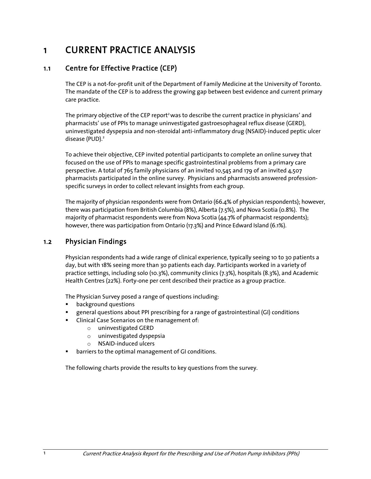# 1 CURRENT PRACTICE ANALYSIS

#### 1.1 Centre for Effective Practice (CEP)

The CEP is a not-for-profit unit of the Department of Family Medicine at the University of Toronto. The mandate of the CEP is to address the growing gap between best evidence and current primary care practice.

The primary objective of the CEP report<sup>2</sup> was to describe the current practice in physicians' and pharmacists' use of PPIs to manage uninvestigated gastroesophageal reflux disease (GERD), uninvestigated dyspepsia and non-steroidal anti-inflammatory drug (NSAID)-induced peptic ulcer disease (PUD).<sup>2</sup>

To achieve their objective, CEP invited potential participants to complete an online survey that focused on the use of PPIs to manage specific gastrointestinal problems from a primary care perspective. A total of 765 family physicians of an invited 10,545 and 179 of an invited 4,507 pharmacists participated in the online survey. Physicians and pharmacists answered professionspecific surveys in order to collect relevant insights from each group.

The majority of physician respondents were from Ontario (66.4% of physician respondents); however, there was participation from British Columbia (8%), Alberta (7.5%), and Nova Scotia (0.8%). The majority of pharmacist respondents were from Nova Scotia (44.7% of pharmacist respondents); however, there was participation from Ontario (17.3%) and Prince Edward Island (6.1%).

#### 1.2 Physician Findings

Physician respondents had a wide range of clinical experience, typically seeing 10 to 30 patients a day, but with 18% seeing more than 30 patients each day. Participants worked in a variety of practice settings, including solo (10.3%), community clinics (7.3%), hospitals (8.3%), and Academic Health Centres (22%). Forty-one per cent described their practice as a group practice.

The Physician Survey posed a range of questions including:

- **•** background questions
- general questions about PPI prescribing for a range of gastrointestinal (GI) conditions
- **EXECLING** Clinical Case Scenarios on the management of:
	- o uninvestigated GERD
	- o uninvestigated dyspepsia
	- o NSAID-induced ulcers
- **•** barriers to the optimal management of GI conditions.

The following charts provide the results to key questions from the survey.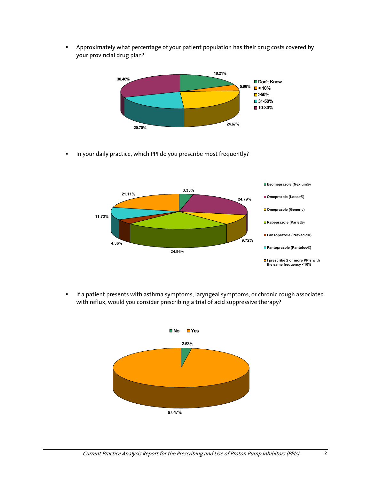Approximately what percentage of your patient population has their drug costs covered by your provincial drug plan?



In your daily practice, which PPI do you prescribe most frequently?



**If a patient presents with asthma symptoms, laryngeal symptoms, or chronic cough associated** with reflux, would you consider prescribing a trial of acid suppressive therapy?

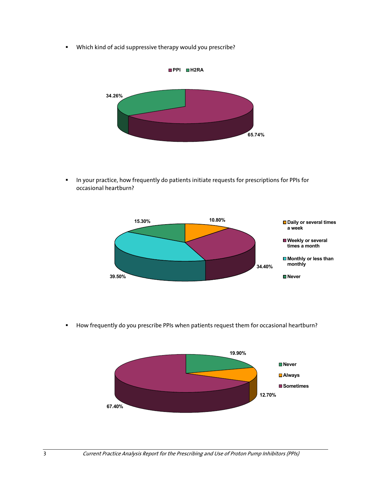Which kind of acid suppressive therapy would you prescribe?



**In your practice, how frequently do patients initiate requests for prescriptions for PPIs for** occasional heartburn?



**How frequently do you prescribe PPIs when patients request them for occasional heartburn?** 

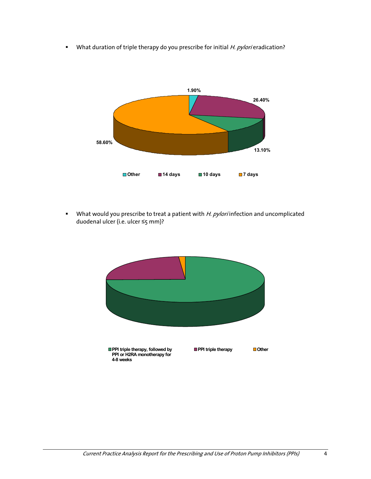What duration of triple therapy do you prescribe for initial H. pylori eradication?



What would you prescribe to treat a patient with  $H.$  pylori infection and uncomplicated duodenal ulcer (i.e. ulcer ≤5 mm)?

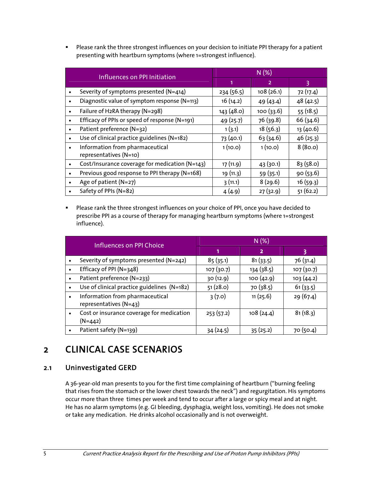**Please rank the three strongest influences on your decision to initiate PPI therapy for a patient** presenting with heartburn symptoms (where 1=strongest influence).

| <b>Influences on PPI Initiation</b>                                    | N(%)       |                |           |  |
|------------------------------------------------------------------------|------------|----------------|-----------|--|
|                                                                        |            | $\overline{2}$ | 3         |  |
| Severity of symptoms presented (N=414)                                 | 234 (56.5) | 108(26.1)      | 72 (17.4) |  |
| Diagnostic value of symptom response (N=113)                           | 16(14.2)   | 49(43.4)       | 48(42.5)  |  |
| Failure of H2RA therapy (N=298)                                        | 143(48.0)  | 100(33.6)      | 55(18.5)  |  |
| Efficacy of PPIs or speed of response (N=191)                          | 49(25.7)   | 76 (39.8)      | 66 (34.6) |  |
| Patient preference (N=32)                                              | 1(3.1)     | 18(56.3)       | 13 (40.6) |  |
| Use of clinical practice guidelines (N=182)                            | 73 (40.1)  | 63(34.6)       | 46(25.3)  |  |
| Information from pharmaceutical<br>$\bullet$<br>representatives (N=10) | 1(10.0)    | 1(10.0)        | 8(80.0)   |  |
| Cost/Insurance coverage for medication (N=143)                         | 17 (11.9)  | 43(30.1)       | 83(58.0)  |  |
| Previous good response to PPI therapy (N=168)                          | 19 (11.3)  | 59 (35.1)      | 90(53.6)  |  |
| Age of patient $(N=27)$                                                | 3(11.1)    | 8(29.6)        | 16(59.3)  |  |
| Safety of PPIs (N=82)                                                  | 4(4.9)     | 27(32.9)       | 51(62.2)  |  |

**Please rank the three strongest influences on your choice of PPI, once you have decided to** prescribe PPI as a course of therapy for managing heartburn symptoms (where 1=strongest influence).

| <b>Influences on PPI Choice</b>                                        | N(%)      |                |           |  |
|------------------------------------------------------------------------|-----------|----------------|-----------|--|
|                                                                        |           | $\overline{2}$ | 3         |  |
| Severity of symptoms presented (N=242)                                 | 85(35.1)  | 81(33.5)       | 76 (31.4) |  |
| Efficacy of PPI (N=348)                                                | 107(30.7) | 134 (38.5)     | 107(30.7) |  |
| Patient preference (N=233)                                             | 30 (12.9) | 100(42.9)      | 103(44.2) |  |
| Use of clinical practice guidelines (N=182)                            | 51(28.0)  | 70 (38.5)      | 61(33.5)  |  |
| Information from pharmaceutical<br>$\bullet$<br>representatives (N=43) | 3(7.0)    | 11(25.6)       | 29 (67.4) |  |
| Cost or insurance coverage for medication<br>$(N=442)$                 | 253(57.2) | 108(24.4)      | 81(18.3)  |  |
| Patient safety (N=139)                                                 | 34 (24.5) | 35(25.2)       | 70 (50.4) |  |

# 2 CLINICAL CASE SCENARIOS

## 2.1 Uninvestigated GERD

A 36-year-old man presents to you for the first time complaining of heartburn ("burning feeling that rises from the stomach or the lower chest towards the neck") and regurgitation. His symptoms occur more than three times per week and tend to occur after a large or spicy meal and at night. He has no alarm symptoms (e.g. GI bleeding, dysphagia, weight loss, vomiting). He does not smoke or take any medication. He drinks alcohol occasionally and is not overweight.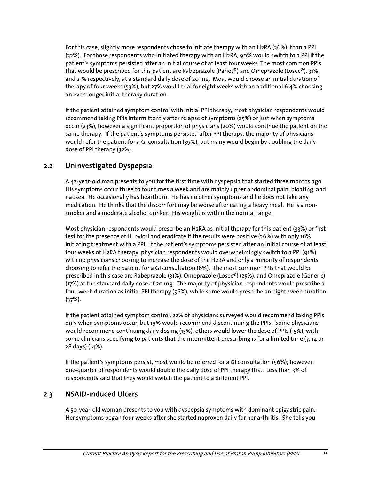For this case, slightly more respondents chose to initiate therapy with an H2RA (36%), than a PPI (32%). For those respondents who initiated therapy with an H2RA, 90% would switch to a PPI if the patient's symptoms persisted after an initial course of at least four weeks. The most common PPIs that would be prescribed for this patient are Rabeprazole (Pariet®) and Omeprazole (Losec®), 31% and 21% respectively, at a standard daily dose of 20 mg. Most would choose an initial duration of therapy of four weeks (53%), but 27% would trial for eight weeks with an additional 6.4% choosing an even longer initial therapy duration.

If the patient attained symptom control with initial PPI therapy, most physician respondents would recommend taking PPIs intermittently after relapse of symptoms (25%) or just when symptoms occur (23%), however a significant proportion of physicians (20%) would continue the patient on the same therapy. If the patient's symptoms persisted after PPI therapy, the majority of physicians would refer the patient for a GI consultation (39%), but many would begin by doubling the daily dose of PPI therapy (32%).

## 2.2 Uninvestigated Dyspepsia

A 42-year-old man presents to you for the first time with dyspepsia that started three months ago. His symptoms occur three to four times a week and are mainly upper abdominal pain, bloating, and nausea. He occasionally has heartburn. He has no other symptoms and he does not take any medication. He thinks that the discomfort may be worse after eating a heavy meal. He is a nonsmoker and a moderate alcohol drinker. His weight is within the normal range.

Most physician respondents would prescribe an H2RA as initial therapy for this patient (33%) or first test for the presence of H. pylori and eradicate if the results were positive (26%) with only 16% initiating treatment with a PPI. If the patient's symptoms persisted after an initial course of at least four weeks of H2RA therapy, physician respondents would overwhelmingly switch to a PPI (91%) with no physicians choosing to increase the dose of the H2RA and only a minority of respondents choosing to refer the patient for a GI consultation (6%). The most common PPIs that would be prescribed in this case are Rabeprazole (31%), Omeprazole (Losec®) (25%), and Omeprazole (Generic) (17%) at the standard daily dose of 20 mg. The majority of physician respondents would prescribe a four-week duration as initial PPI therapy (56%), while some would prescribe an eight-week duration (37%).

If the patient attained symptom control, 22% of physicians surveyed would recommend taking PPIs only when symptoms occur, but 19% would recommend discontinuing the PPIs. Some physicians would recommend continuing daily dosing (15%), others would lower the dose of PPIs (15%), with some clinicians specifying to patients that the intermittent prescribing is for a limited time (7, 14 or 28 days) (14%).

If the patient's symptoms persist, most would be referred for a GI consultation (56%); however, one-quarter of respondents would double the daily dose of PPI therapy first. Less than 3% of respondents said that they would switch the patient to a different PPI.

## 2.3 NSAID-induced Ulcers

A 50-year-old woman presents to you with dyspepsia symptoms with dominant epigastric pain. Her symptoms began four weeks after she started naproxen daily for her arthritis. She tells you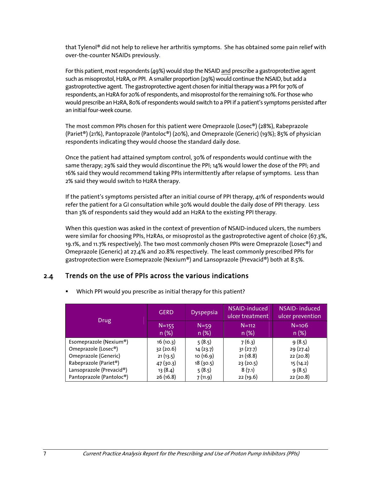that Tylenol® did not help to relieve her arthritis symptoms. She has obtained some pain relief with over-the-counter NSAIDs previously.

For this patient, most respondents (49%) would stop the NSAID and prescribe a gastroprotective agent such as misoprostol, H2RA, or PPI. A smaller proportion (29%) would continue the NSAID, but add a gastroprotective agent. The gastroprotective agent chosen for initial therapy was a PPI for 70% of respondents, an H2RA for 20% of respondents, and misoprostol for the remaining 10%. For those who would prescribe an H2RA, 80% of respondents would switch to a PPI if a patient's symptoms persisted after an initial four-week course.

The most common PPIs chosen for this patient were Omeprazole (Losec®) (28%), Rabeprazole (Pariet®) (21%), Pantoprazole (Pantoloc®) (20%), and Omeprazole (Generic) (19%); 85% of physician respondents indicating they would choose the standard daily dose.

Once the patient had attained symptom control, 30% of respondents would continue with the same therapy; 29% said they would discontinue the PPI; 14% would lower the dose of the PPI; and 16% said they would recommend taking PPIs intermittently after relapse of symptoms. Less than 2% said they would switch to H2RA therapy.

If the patient's symptoms persisted after an initial course of PPI therapy, 41% of respondents would refer the patient for a GI consultation while 30% would double the daily dose of PPI therapy. Less than 3% of respondents said they would add an H2RA to the existing PPI therapy.

When this question was asked in the context of prevention of NSAID-induced ulcers, the numbers were similar for choosing PPIs, H2RAs, or misoprostol as the gastroprotective agent of choice (67.3%, 19.1%, and 11.7% respectively). The two most commonly chosen PPIs were Omeprazole (Losec®) and Omeprazole (Generic) at 27.4% and 20.8% respectively. The least commonly prescribed PPIs for gastroprotection were Esomeprazole (Nexium®) and Lansoprazole (Prevacid®) both at 8.5%.

#### 2.4 Trends on the use of PPIs across the various indications

|                          | <b>GERD</b>       | <b>Dyspepsia</b> | NSAID-induced<br>ulcer treatment | NSAID-induced<br>ulcer prevention |
|--------------------------|-------------------|------------------|----------------------------------|-----------------------------------|
| Drug                     | $N = 155$<br>n(%) | $N = 59$<br>n(%) | $N = 112$<br>n(%)                | $N=106$<br>n(%)                   |
| Esomeprazole (Nexium®)   | 16(10.3)          | 5(8.5)           | 7(6.3)                           | 9(8.5)                            |
| Omeprazole (Losec®)      | 32(20.6)          | 14(23.7)         | 31(27.7)                         | 29(27.4)                          |
| Omeprazole (Generic)     | 21(13.5)          | 10(16.9)         | 21(18.8)                         | 22(20.8)                          |
| Rabeprazole (Pariet®)    | 47(30.3)          | 18(30.5)         | 23 (20.5)                        | 15 (14.2)                         |
| Lansoprazole (Prevacid®) | 13(8.4)           | 5(8.5)           | 8(7.1)                           | 9(8.5)                            |
| Pantoprazole (Pantoloc®) | 26(16.8)          | 7(11.9)          | 22 (19.6)                        | 22(20.8)                          |

**Which PPI would you prescribe as initial therapy for this patient?**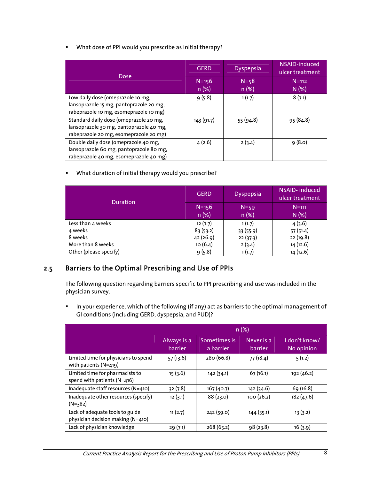What dose of PPI would you prescribe as initial therapy?

| <b>Dose</b>                                                                                                                 | <b>GERD</b>       | <b>Dyspepsia</b> | NSAID-induced<br>ulcer treatment |
|-----------------------------------------------------------------------------------------------------------------------------|-------------------|------------------|----------------------------------|
|                                                                                                                             | $N = 156$<br>n(%) | $N = 58$<br>n(%) | $N=112$<br>N(%)                  |
| Low daily dose (omeprazole 10 mg,<br>lansoprazole 15 mg, pantoprazole 20 mg,<br>rabeprazole 10 mg, esomeprazole 10 mg)      | 9(5.8)            | 1(1.7)           | 8(7.1)                           |
| Standard daily dose (omeprazole 20 mg,<br>lansoprazole 30 mg, pantoprazole 40 mg,<br>rabeprazole 20 mg, esomeprazole 20 mg) | 143 (91.7)        | 55 (94.8)        | 95 (84.8)                        |
| Double daily dose (omeprazole 40 mg,<br>lansoprazole 60 mg, pantoprazole 80 mg,<br>rabeprazole 40 mg, esomeprazole 40 mg)   | 4(2.6)            | 2(3.4)           | 9(8.0)                           |

What duration of initial therapy would you prescribe?

| Duration               | <b>GERD</b>       | <b>Dyspepsia</b> | <b>NSAID-induced</b><br>ulcer treatment |
|------------------------|-------------------|------------------|-----------------------------------------|
|                        | $N = 156$<br>n(%) | $N=59$<br>n (%)  | $N = 111$<br>N(%)                       |
|                        |                   |                  |                                         |
| Less than 4 weeks      | 12(7.7)           | 1(1.7)           | 4(3.6)                                  |
| 4 weeks                | 83(53.2)          | 33 (55.9)        | 57 (51.4)                               |
| 8 weeks                | 42 (26.9)         | 22(37.3)         | 22 (19.8)                               |
| More than 8 weeks      | 10(6.4)           | 2(3.4)           | 14 (12.6)                               |
| Other (please specify) | 9(5.8)            | 1(1.7)           | 14 (12.6)                               |

## 2.5 Barriers to the Optimal Prescribing and Use of PPIs

The following question regarding barriers specific to PPI prescribing and use was included in the physician survey.

In your experience, which of the following (if any) act as barriers to the optimal management of GI conditions (including GERD, dyspepsia, and PUD)?

|                                                                      | n(%)                   |                           |                       |                             |  |
|----------------------------------------------------------------------|------------------------|---------------------------|-----------------------|-----------------------------|--|
|                                                                      | Always is a<br>barrier | Sometimes is<br>a barrier | Never is a<br>barrier | I don't know/<br>No opinion |  |
| Limited time for physicians to spend<br>with patients $(N=419)$      | 57(13.6)               | 280 (66.8)                | 77 (18.4)             | 5(1.2)                      |  |
| Limited time for pharmacists to<br>spend with patients (N=416)       | 15(3.6)                | 142(34.1)                 | 67(16.1)              | 192 (46.2)                  |  |
| Inadequate staff resources (N=410)                                   | 32(7.8)                | 167(40.7)                 | 142 (34.6)            | 69 (16.8)                   |  |
| Inadequate other resources (specify)<br>$(N=382)$                    | 12(3.1)                | 88(23.0)                  | 100 (26.2)            | 182(47.6)                   |  |
| Lack of adequate tools to guide<br>physician decision making (N=410) | 11(2.7)                | 242 (59.0)                | 144 (35.1)            | 13(3.2)                     |  |
| Lack of physician knowledge                                          | 29(7.1)                | 268(65.2)                 | 98 (23.8)             | 16(3.9)                     |  |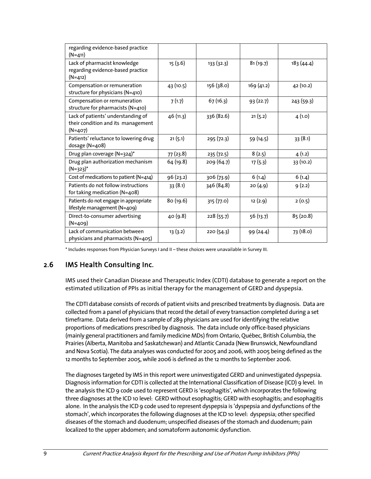| regarding evidence-based practice<br>$(N=411)$                                        |           |            |            |           |
|---------------------------------------------------------------------------------------|-----------|------------|------------|-----------|
| Lack of pharmacist knowledge<br>regarding evidence-based practice<br>$(N=412)$        | 15(3.6)   | 133(32.3)  | 81(19.7)   | 183(44.4) |
| Compensation or remuneration<br>structure for physicians (N=410)                      | 43(10.5)  | 156 (38.0) | 169 (41.2) | 42 (10.2) |
| Compensation or remuneration<br>structure for pharmacists (N=410)                     | 7(1.7)    | 67(16.3)   | 93(22.7)   | 243(59.3) |
| Lack of patients' understanding of<br>their condition and its management<br>$(N=407)$ | 46 (11.3) | 336 (82.6) | 21(5.2)    | 4(1.0)    |
| Patients' reluctance to lowering drug<br>dosage (N=408)                               | 21(5.1)   | 295(72.3)  | 59 (14.5)  | 33(8.1)   |
| Drug plan coverage (N=324)*                                                           | 77 (23.8) | 235 (72.5) | 8(2.5)     | 4(1.2)    |
| Drug plan authorization mechanism<br>$(N=323)^*$                                      | 64 (19.8) | 209 (64.7) | 17(5.3)    | 33 (10.2) |
| Cost of medications to patient (N=414)                                                | 96 (23.2) | 306 (73.9) | 6(1.4)     | 6(1.4)    |
| Patients do not follow instructions<br>for taking medication (N=408)                  | 33(8.1)   | 346 (84.8) | 20(4.9)    | 9(2.2)    |
| Patients do not engage in appropriate<br>lifestyle management (N=409)                 | 80 (19.6) | 315 (77.0) | 12 (2.9)   | 2(0.5)    |
| Direct-to-consumer advertising<br>$(N=409)$                                           | 40 (9.8)  | 228(55.7)  | 56 (13.7)  | 85(20.8)  |
| Lack of communication between<br>physicians and pharmacists (N=405)                   | 13(3.2)   | 220 (54.3) | 99 (24.4)  | 73 (18.0) |

\* Includes responses from Physician Surveys I and II – these choices were unavailable in Survey III.

#### 2.6 IMS Health Consulting Inc.

IMS used their Canadian Disease and Therapeutic Index (CDTI) database to generate a report on the estimated utilization of PPIs as initial therapy for the management of GERD and dyspepsia.

The CDTI database consists of records of patient visits and prescribed treatments by diagnosis. Data are collected from a panel of physicians that record the detail of every transaction completed during a set timeframe. Data derived from a sample of 289 physicians are used for identifying the relative proportions of medications prescribed by diagnosis. The data include only office-based physicians (mainly general practitioners and family medicine MDs) from Ontario, Québec, British Columbia, the Prairies (Alberta, Manitoba and Saskatchewan) and Atlantic Canada (New Brunswick, Newfoundland and Nova Scotia). The data analyses was conducted for 2005 and 2006, with 2005 being defined as the 12 months to September 2005, while 2006 is defined as the 12 months to September 2006.

The diagnoses targeted by IMS in this report were uninvestigated GERD and uninvestigated dyspepsia. Diagnosis information for CDTI is collected at the International Classification of Disease (ICD) 9 level. In the analysis the ICD 9 code used to represent GERD is 'esophagitis', which incorporates the following three diagnoses at the ICD 10 level: GERD without esophagitis; GERD with esophagitis; and esophagitis alone. In the analysis the ICD 9 code used to represent dyspepsia is 'dyspepsia and dysfunctions of the stomach', which incorporates the following diagnoses at the ICD 10 level: dyspepsia; other specified diseases of the stomach and duodenum; unspecified diseases of the stomach and duodenum; pain localized to the upper abdomen; and somatoform autonomic dysfunction.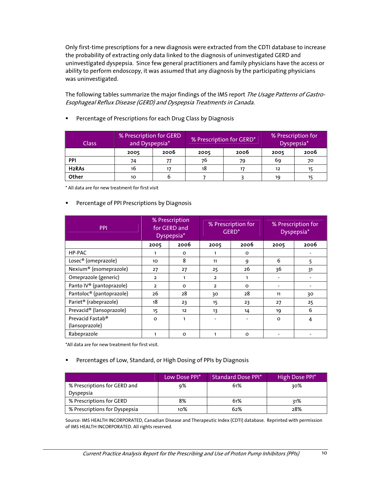Only first-time prescriptions for a new diagnosis were extracted from the CDTI database to increase the probability of extracting only data linked to the diagnosis of uninvestigated GERD and uninvestigated dyspepsia. Since few general practitioners and family physicians have the access or ability to perform endoscopy, it was assumed that any diagnosis by the participating physicians was uninvestigated.

The following tables summarize the major findings of the IMS report The Usage Patterns of Gastro-Esophageal Reflux Disease (GERD) and Dyspepsia Treatments in Canada.

**Percentage of Prescriptions for each Drug Class by Diagnosis** 

| <b>Class</b>       | % Prescription for GERD<br>and Dyspepsia* |      | % Prescription for GERD* |    | % Prescription for | Dyspepsia* |
|--------------------|-------------------------------------------|------|--------------------------|----|--------------------|------------|
|                    | 2005                                      | 2006 | 2006<br>2005             |    | 2005               | 2006       |
| PPI                | 74                                        |      | 76                       | 79 | 69                 | 70         |
| H <sub>2</sub> RAs | 16                                        |      | 18                       |    | 12                 |            |
| Other              | 10                                        |      |                          |    | 19                 |            |

\* All data are for new treatment for first visit

#### **Percentage of PPI Prescriptions by Diagnosis**

| <b>PPI</b>                           | % Prescription<br>for GERD and<br>Dyspepsia* |         | % Prescription for<br>GERD <sup>*</sup> |         | % Prescription for<br>Dyspepsia* |      |
|--------------------------------------|----------------------------------------------|---------|-----------------------------------------|---------|----------------------------------|------|
|                                      | 2005                                         | 2006    | 2005                                    | 2006    | 2005                             | 2006 |
| HP-PAC                               |                                              | $\circ$ |                                         | $\circ$ |                                  |      |
| Losec <sup>®</sup> (omeprazole)      | 10                                           | 8       | 11                                      | 9       | 6                                | 5    |
| Nexium <sup>®</sup> (esomeprazole)   | 27                                           | 27      | 25                                      | 26      | 36                               | 31   |
| Omeprazole (generic)                 | $\overline{2}$                               | 1       | $\overline{2}$                          |         |                                  |      |
| Panto IV <sup>®</sup> (pantoprazole) | $\overline{2}$                               | $\circ$ | $\overline{2}$                          | $\circ$ |                                  |      |
| Pantoloc® (pantoprazole)             | 26                                           | 28      | 30                                      | 28      | 11                               | 30   |
| Pariet <sup>®</sup> (rabeprazole)    | 18                                           | 23      | 15                                      | 23      | 27                               | 25   |
| Prevacid® (lansoprazole)             | 15                                           | 12      | 13                                      | 14      | 19                               | 6    |
| Prevacid Fastab <sup>®</sup>         | O                                            | 1       |                                         |         | $\circ$                          | 4    |
| (lansoprazole)                       |                                              |         |                                         |         |                                  |      |
| Rabeprazole                          |                                              | O       |                                         | $\circ$ |                                  |      |

\*All data are for new treatment for first visit.

#### Percentages of Low, Standard, or High Dosing of PPIs by Diagnosis

|                                           | Low Dose PPI* | <b>Standard Dose PPI*</b> | High Dose PPI* |
|-------------------------------------------|---------------|---------------------------|----------------|
| % Prescriptions for GERD and<br>Dyspepsia | 9%            | 61%                       | २०%            |
| % Prescriptions for GERD                  | 8%            | 61%                       | 31%            |
| % Prescriptions for Dyspepsia             | 10%           | 62%                       | 28%            |

Source: IMS HEALTH INCORPORATED, Canadian Disease and Therapeutic Index (CDTI) database. Reprinted with permission of IMS HEALTH INCORPORATED. All rights reserved.